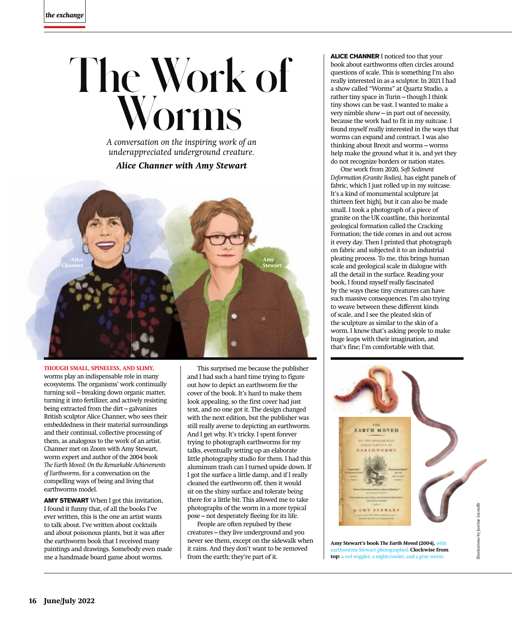## **The Work of Worms**

*A conversation on the inspiring work of an underappreciated underground creature.*

## *Alice Channer with Amy Stewart*



**THOUGH SMALL, SPINELESS, AND SLIMY,**  worms play an indispensable role in many ecosystems. The organisms' work continually turning soil—breaking down organic matter, turning it into fertilizer, and actively resisting being extracted from the dirt—galvanizes British sculptor Alice Channer, who sees their embeddedness in their material surroundings and their continual, collective processing of them, as analogous to the work of an artist. Channer met on Zoom with Amy Stewart, worm expert and author of the 2004 book *The Earth Moved: On the Remarkable Achievements of Earthworms*, for a conversation on the compelling ways of being and living that earthworms model.

**AMY STEWART** When I got this invitation, I found it funny that, of all the books I've ever written, this is the one an artist wants to talk about. I've written about cocktails and about poisonous plants, but it was after the earthworm book that I received many paintings and drawings. Somebody even made me a handmade board game about worms.

This surprised me because the publisher and I had such a hard time trying to figure out how to depict an earthworm for the cover of the book. It's hard to make them look appealing, so the first cover had just text, and no one got it. The design changed with the next edition, but the publisher was still really averse to depicting an earthworm. And I get why. It's tricky. I spent forever trying to photograph earthworms for my talks, eventually setting up an elaborate little photography studio for them. I had this aluminum trash can I turned upside down. If I got the surface a little damp, and if I really cleaned the earthworm off, then it would sit on the shiny surface and tolerate being there for a little bit. This allowed me to take photographs of the worm in a more typical pose—not desperately fleeing for its life.

People are often repulsed by these creatures—they live underground and you never see them, except on the sidewalk when it rains. And they don't want to be removed from the earth; they're part of it.

**ALICE CHANNER** I noticed too that your book about earthworms often circles around questions of scale. This is something I'm also really interested in as a sculptor. In 2021 I had a show called "Worms" at Quartz Studio, a rather tiny space in Turin—though I think tiny shows can be vast. I wanted to make a very nimble show—in part out of necessity, because the work had to fit in my suitcase. I found myself really interested in the ways that worms can expand and contract. I was also thinking about Brexit and worms—worms help make the ground what it is, and yet they do not recognize borders or nation states.

One work from 2020, *Soft Sediment Deformation (Granite Bodies)*, has eight panels of fabric, which I just rolled up in my suitcase. It's a kind of monumental sculpture [at thirteen feet high], but it can also be made small. I took a photograph of a piece of granite on the UK coastline, this horizontal geological formation called the Cracking Formation; the tide comes in and out across it every day. Then I printed that photograph on fabric and subjected it to an industrial pleating process. To me, this brings human scale and geological scale in dialogue with all the detail in the surface. Reading your book, I found myself really fascinated by the ways these tiny creatures can have such massive consequences. I'm also trying to weave between these different kinds of scale, and I see the pleated skin of the sculpture as similar to the skin of a worm. I know that's asking people to make huge leaps with their imagination, and that's fine; I'm comfortable with that.



earthworms Stewart photographed. **Clockwise from top:** a red wiggler, a nightcrawler, and a gray worm.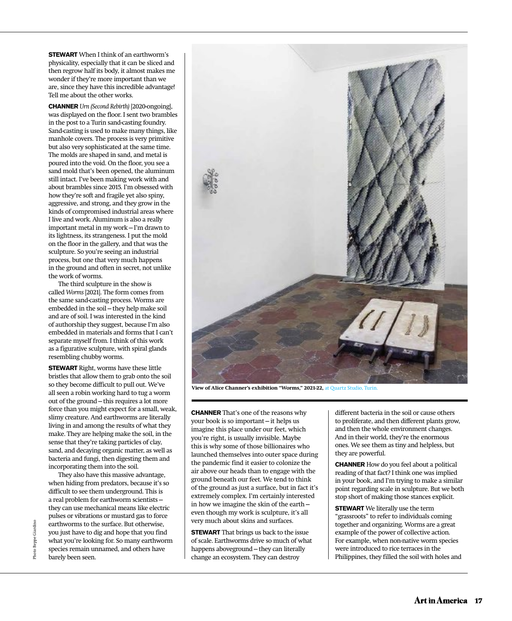**STEWART** When I think of an earthworm's physicality, especially that it can be sliced and then regrow half its body, it almost makes me wonder if they're more important than we are, since they have this incredible advantage! Tell me about the other works.

**CHANNER** *Urn (Second Rebirth)* [2020-ongoing], was displayed on the floor. I sent two brambles in the post to a Turin sand-casting foundry. Sand-casting is used to make many things, like manhole covers. The process is very primitive but also very sophisticated at the same time. The molds are shaped in sand, and metal is poured into the void. On the floor, you see a sand mold that's been opened, the aluminum still intact. I've been making work with and about brambles since 2015. I'm obsessed with how they're soft and fragile yet also spiny, aggressive, and strong, and they grow in the kinds of compromised industrial areas where I live and work. Aluminum is also a really important metal in my work—I'm drawn to its lightness, its strangeness. I put the mold on the floor in the gallery, and that was the sculpture. So you're seeing an industrial process, but one that very much happens in the ground and often in secret, not unlike the work of worms.

The third sculpture in the show is called *Worms* [2021]. The form comes from the same sand-casting process. Worms are embedded in the soil—they help make soil and are of soil. I was interested in the kind of authorship they suggest, because I'm also embedded in materials and forms that I can't separate myself from. I think of this work as a figurative sculpture, with spiral glands resembling chubby worms.

**STEWART** Right, worms have these little bristles that allow them to grab onto the soil so they become difficult to pull out. We've all seen a robin working hard to tug a worm out of the ground—this requires a lot more force than you might expect for a small, weak, slimy creature. And earthworms are literally living in and among the results of what they make. They are helping make the soil, in the sense that they're taking particles of clay, sand, and decaying organic matter, as well as bacteria and fungi, then digesting them and incorporating them into the soil.

They also have this massive advantage, when hiding from predators, because it's so difficult to see them underground. This is a real problem for earthworm scientists they can use mechanical means like electric pulses or vibrations or mustard gas to force earthworms to the surface. But otherwise, you just have to dig and hope that you find what you're looking for. So many earthworm species remain unnamed, and others have barely been seen.



**View of Alice Channer's exhibition "Worms," 2021-22,** at Quartz Studio, Turin.

**CHANNER** That's one of the reasons why your book is so important—it helps us imagine this place under our feet, which you're right, is usually invisible. Maybe this is why some of those billionaires who launched themselves into outer space during the pandemic find it easier to colonize the air above our heads than to engage with the ground beneath our feet. We tend to think of the ground as just a surface, but in fact it's extremely complex. I'm certainly interested in how we imagine the skin of the earth even though my work is sculpture, it's all very much about skins and surfaces.

**STEWART** That brings us back to the issue of scale. Earthworms drive so much of what happens aboveground—they can literally change an ecosystem. They can destroy

different bacteria in the soil or cause others to proliferate, and then different plants grow, and then the whole environment changes. And in their world, they're the enormous ones. We see them as tiny and helpless, but they are powerful.

**CHANNER** How do you feel about a political reading of that fact? I think one was implied in your book, and I'm trying to make a similar point regarding scale in sculpture. But we both stop short of making those stances explicit.

**STEWART** We literally use the term "grassroots" to refer to individuals coming together and organizing. Worms are a great example of the power of collective action. For example, when non-native worm species were introduced to rice terraces in the Philippines, they filled the soil with holes and